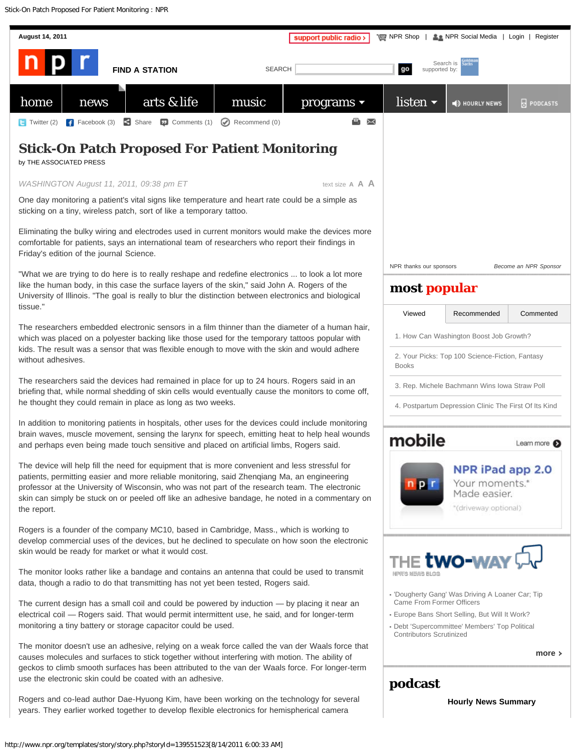Stick-On Patch Proposed For Patient Monitoring : NPR

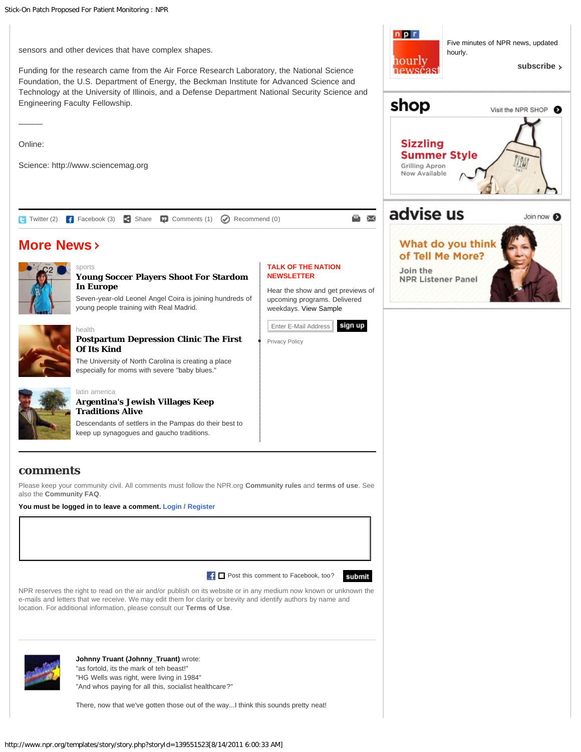

Funding for the research came from the Air Force Research Laboratory, the National Science Foundation, the U.S. Department of Energy, the Beckman Institute for Advanced Science and Technology at the University of Illinois, and a Defense Department National Security Science and Engineering Faculty Fellowship.

Online:

———

Science: http://www.sciencemag.org

[health](http://www.npr.org/sections/news/)

**TALK OF THE NATION NEWSLETTER [More News](http://www.npr.org/sections/news/)** [sports](http://www.npr.org/sections/news/) **[Young Soccer Players Shoot For Stardom](http://www.npr.org/2011/08/14/139613445/young-soccer-players-shoot-for-stardom-in-europe) [In Europe](http://www.npr.org/2011/08/14/139613445/young-soccer-players-shoot-for-stardom-in-europe)** [Twitter \(2\)](javascript:void(0);) [Facebook \(3\)](javascript:void(0);) [Share](javascript:void(0);) [Comments \(1\)](#page-1-0) [Recommend \(0\)](javascript: NPR.community.recommendStoryStoryPage();)



Five minutes of NPR news, updated

**[subscribe](http://www.npr.org/rss/podcast/podcast_detail.php?siteId=5183215)**

Join now <sup>6</sup>

Visit the NPR SHOP 8

hourly.

npr

hourly newsčast



## **[Postpartum Depression Clinic The First](http://www.npr.org/2011/08/14/139559529/postpartum-depression-clinic-the-first-of-its-kind) [Of Its Kind](http://www.npr.org/2011/08/14/139559529/postpartum-depression-clinic-the-first-of-its-kind)**

The University of North Carolina is creating a place especially for moms with severe "baby blues."



#### [latin america](http://www.npr.org/sections/news/) **[Argentina's Jewish Villages Keep](http://www.npr.org/2011/08/14/137341367/argentinas-jewish-villages-keep-traditions-alive) [Traditions Alive](http://www.npr.org/2011/08/14/137341367/argentinas-jewish-villages-keep-traditions-alive)**

young people training with Real Madrid.

Descendants of settlers in the Pampas do their best to keep up synagogues and gaucho traditions.

### <span id="page-1-0"></span>**comments**

Please keep your community civil. All comments must follow the NPR.org **[Community rules](http://www.npr.org/discussionrules)** and **[terms of use](http://www.npr.org/about/termsofuse.html)**. See also the **[Community FAQ](http://www.npr.org/communityFAQ)**.

**You must be logged in to leave a comment. [Login / Register](javascript: NPR.community.renderOverlay(NPR.community.LOGIN);)**

 $\Box$  Post this comment to Facebook, too?



NPR reserves the right to read on the air and/or publish on its website or in any medium now known or unknown the e-mails and letters that we receive. We may edit them for clarity or brevity and identify authors by name and location. For additional information, please consult our **[Terms of Use](http://www.npr.org/about/termsofuse.html)**.



#### **[Johnny Truant \(Johnny\\_Truant\)](http://www.npr.org/templates/community/persona.php?uid=4707715)** wrote: "as fortold, its the mark of teh beast!"

"HG Wells was right, were living in 1984"

"And whos paying for all this, socialist healthcare?"

There, now that we've gotten those out of the way...I think this sounds pretty neat!